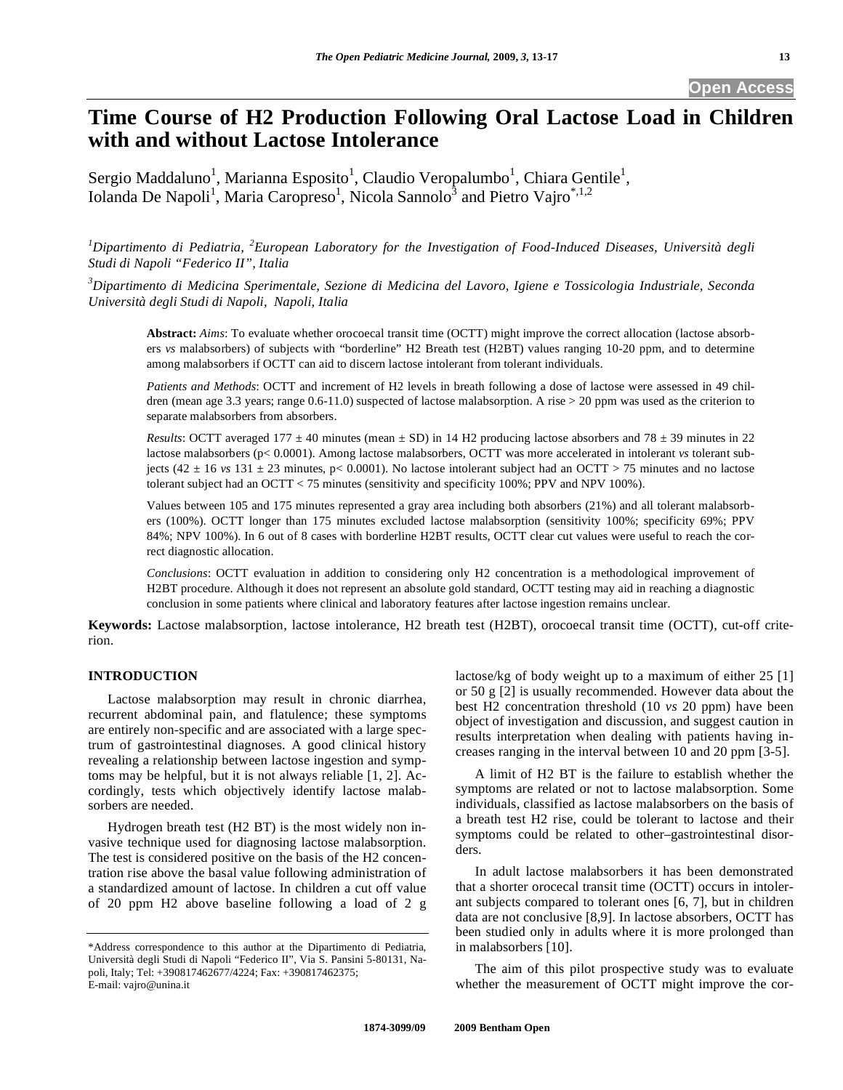# **Time Course of H2 Production Following Oral Lactose Load in Children with and without Lactose Intolerance**

Sergio Maddaluno<sup>1</sup>, Marianna Esposito<sup>1</sup>, Claudio Veropalumbo<sup>1</sup>, Chiara Gentile<sup>1</sup>, Iolanda De Napoli<sup>1</sup>, Maria Caropreso<sup>1</sup>, Nicola Sannolo<sup>3</sup> and Pietro Vajro<sup>\*,1,2</sup>

<sup>1</sup>Dipartimento di Pediatria, <sup>2</sup> European Laboratory for the Investigation of Food-Induced Diseases, Università degli *Studi di Napoli "Federico II", Italia* 

*3 Dipartimento di Medicina Sperimentale, Sezione di Medicina del Lavoro, Igiene e Tossicologia Industriale, Seconda Università degli Studi di Napoli, Napoli, Italia* 

**Abstract:** *Aims*: To evaluate whether orocoecal transit time (OCTT) might improve the correct allocation (lactose absorbers *vs* malabsorbers) of subjects with "borderline" H2 Breath test (H2BT) values ranging 10-20 ppm, and to determine among malabsorbers if OCTT can aid to discern lactose intolerant from tolerant individuals.

*Patients and Methods*: OCTT and increment of H2 levels in breath following a dose of lactose were assessed in 49 children (mean age 3.3 years; range 0.6-11.0) suspected of lactose malabsorption. A rise > 20 ppm was used as the criterion to separate malabsorbers from absorbers.

*Results*: OCTT averaged 177  $\pm$  40 minutes (mean  $\pm$  SD) in 14 H2 producing lactose absorbers and 78  $\pm$  39 minutes in 22 lactose malabsorbers (p< 0.0001). Among lactose malabsorbers, OCTT was more accelerated in intolerant *vs* tolerant subjects (42  $\pm$  16 *vs* 131  $\pm$  23 minutes, p< 0.0001). No lactose intolerant subject had an OCTT > 75 minutes and no lactose tolerant subject had an OCTT < 75 minutes (sensitivity and specificity 100%; PPV and NPV 100%).

Values between 105 and 175 minutes represented a gray area including both absorbers (21%) and all tolerant malabsorbers (100%). OCTT longer than 175 minutes excluded lactose malabsorption (sensitivity 100%; specificity 69%; PPV 84%; NPV 100%). In 6 out of 8 cases with borderline H2BT results, OCTT clear cut values were useful to reach the correct diagnostic allocation.

*Conclusions*: OCTT evaluation in addition to considering only H2 concentration is a methodological improvement of H2BT procedure. Although it does not represent an absolute gold standard, OCTT testing may aid in reaching a diagnostic conclusion in some patients where clinical and laboratory features after lactose ingestion remains unclear.

**Keywords:** Lactose malabsorption, lactose intolerance, H2 breath test (H2BT), orocoecal transit time (OCTT), cut-off criterion.

#### **INTRODUCTION**

 Lactose malabsorption may result in chronic diarrhea, recurrent abdominal pain, and flatulence; these symptoms are entirely non-specific and are associated with a large spectrum of gastrointestinal diagnoses. A good clinical history revealing a relationship between lactose ingestion and symptoms may be helpful, but it is not always reliable [1, 2]. Accordingly, tests which objectively identify lactose malabsorbers are needed.

 Hydrogen breath test (H2 BT) is the most widely non invasive technique used for diagnosing lactose malabsorption. The test is considered positive on the basis of the H2 concentration rise above the basal value following administration of a standardized amount of lactose. In children a cut off value of 20 ppm H2 above baseline following a load of 2 g

lactose/kg of body weight up to a maximum of either 25 [1] or 50 g [2] is usually recommended. However data about the best H2 concentration threshold (10 *vs* 20 ppm) have been object of investigation and discussion, and suggest caution in results interpretation when dealing with patients having increases ranging in the interval between 10 and 20 ppm [3-5].

 A limit of H2 BT is the failure to establish whether the symptoms are related or not to lactose malabsorption. Some individuals, classified as lactose malabsorbers on the basis of a breath test H2 rise, could be tolerant to lactose and their symptoms could be related to other-gastrointestinal disorders.

 In adult lactose malabsorbers it has been demonstrated that a shorter orocecal transit time (OCTT) occurs in intolerant subjects compared to tolerant ones [6, 7], but in children data are not conclusive [8,9]. In lactose absorbers, OCTT has been studied only in adults where it is more prolonged than in malabsorbers [10].

 The aim of this pilot prospective study was to evaluate whether the measurement of OCTT might improve the cor-

<sup>\*</sup>Address correspondence to this author at the Dipartimento di Pediatria, Università degli Studi di Napoli "Federico II", Via S. Pansini 5-80131, Napoli, Italy; Tel: +390817462677/4224; Fax: +390817462375; E-mail: vajro@unina.it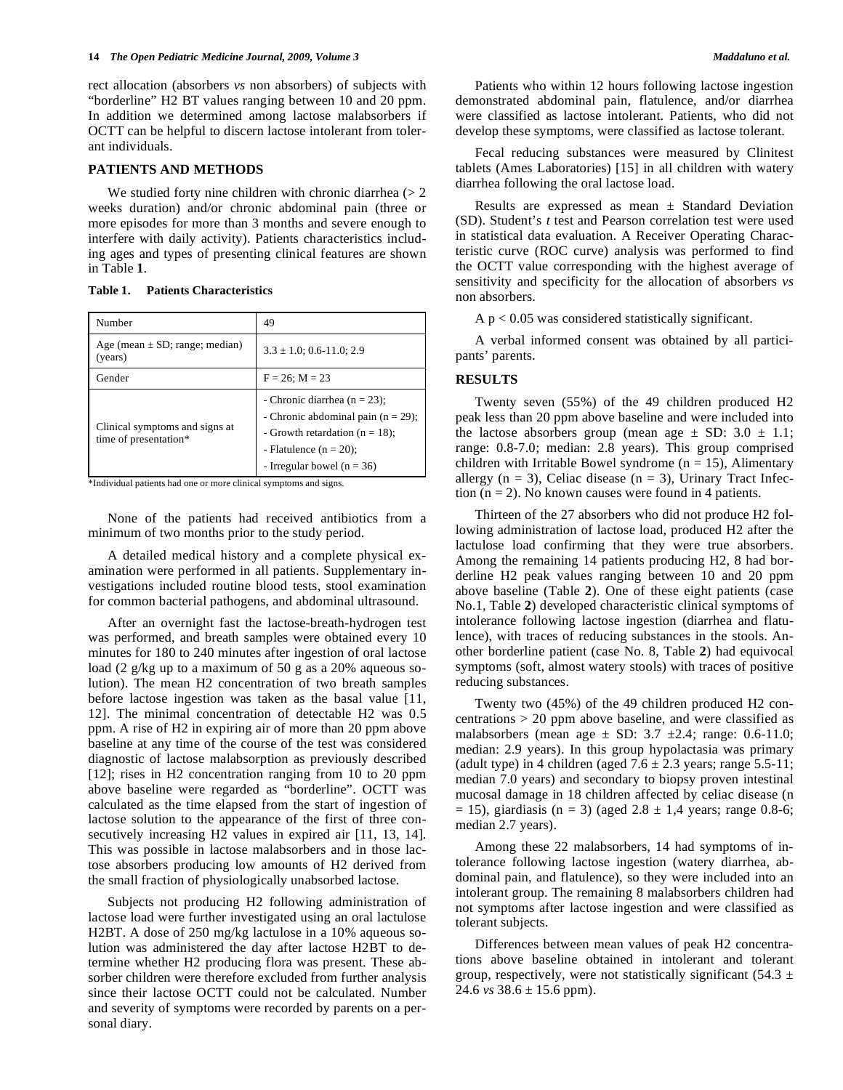rect allocation (absorbers *vs* non absorbers) of subjects with "borderline" H2 BT values ranging between 10 and 20 ppm. In addition we determined among lactose malabsorbers if OCTT can be helpful to discern lactose intolerant from tolerant individuals.

#### **PATIENTS AND METHODS**

We studied forty nine children with chronic diarrhea  $(> 2)$ weeks duration) and/or chronic abdominal pain (three or more episodes for more than 3 months and severe enough to interfere with daily activity). Patients characteristics including ages and types of presenting clinical features are shown in Table **1**.

**Table 1. Patients Characteristics** 

| Number                                                  | 49                                                                                                                                                                             |
|---------------------------------------------------------|--------------------------------------------------------------------------------------------------------------------------------------------------------------------------------|
| Age (mean $\pm$ SD; range; median)<br>(years)           | $3.3 \pm 1.0$ ; 0.6-11.0; 2.9                                                                                                                                                  |
| Gender                                                  | $F = 26$ ; $M = 23$                                                                                                                                                            |
| Clinical symptoms and signs at<br>time of presentation* | - Chronic diarrhea ( $n = 23$ );<br>- Chronic abdominal pain $(n = 29)$ ;<br>- Growth retardation ( $n = 18$ );<br>- Flatulence $(n = 20)$ ;<br>- Irregular bowel ( $n = 36$ ) |

\*Individual patients had one or more clinical symptoms and signs.

 None of the patients had received antibiotics from a minimum of two months prior to the study period.

 A detailed medical history and a complete physical examination were performed in all patients. Supplementary investigations included routine blood tests, stool examination for common bacterial pathogens, and abdominal ultrasound.

 After an overnight fast the lactose-breath-hydrogen test was performed, and breath samples were obtained every 10 minutes for 180 to 240 minutes after ingestion of oral lactose load (2 g/kg up to a maximum of 50 g as a 20% aqueous solution). The mean H2 concentration of two breath samples before lactose ingestion was taken as the basal value [11, 12]. The minimal concentration of detectable H2 was 0.5 ppm. A rise of H2 in expiring air of more than 20 ppm above baseline at any time of the course of the test was considered diagnostic of lactose malabsorption as previously described [12]; rises in H2 concentration ranging from 10 to 20 ppm above baseline were regarded as "borderline". OCTT was calculated as the time elapsed from the start of ingestion of lactose solution to the appearance of the first of three consecutively increasing H2 values in expired air [11, 13, 14]. This was possible in lactose malabsorbers and in those lactose absorbers producing low amounts of H2 derived from the small fraction of physiologically unabsorbed lactose.

 Subjects not producing H2 following administration of lactose load were further investigated using an oral lactulose H2BT. A dose of 250 mg/kg lactulose in a 10% aqueous solution was administered the day after lactose H2BT to determine whether H2 producing flora was present. These absorber children were therefore excluded from further analysis since their lactose OCTT could not be calculated. Number and severity of symptoms were recorded by parents on a personal diary.

 Patients who within 12 hours following lactose ingestion demonstrated abdominal pain, flatulence, and/or diarrhea were classified as lactose intolerant. Patients, who did not develop these symptoms, were classified as lactose tolerant.

 Fecal reducing substances were measured by Clinitest tablets (Ames Laboratories) [15] in all children with watery diarrhea following the oral lactose load.

Results are expressed as mean  $\pm$  Standard Deviation (SD). Student's *t* test and Pearson correlation test were used in statistical data evaluation. A Receiver Operating Characteristic curve (ROC curve) analysis was performed to find the OCTT value corresponding with the highest average of sensitivity and specificity for the allocation of absorbers *vs* non absorbers.

 $A p < 0.05$  was considered statistically significant.

 A verbal informed consent was obtained by all participants' parents.

## **RESULTS**

 Twenty seven (55%) of the 49 children produced H2 peak less than 20 ppm above baseline and were included into the lactose absorbers group (mean age  $\pm$  SD: 3.0  $\pm$  1.1; range: 0.8-7.0; median: 2.8 years). This group comprised children with Irritable Bowel syndrome ( $n = 15$ ), Alimentary allergy  $(n = 3)$ , Celiac disease  $(n = 3)$ , Urinary Tract Infection  $(n = 2)$ . No known causes were found in 4 patients.

 Thirteen of the 27 absorbers who did not produce H2 following administration of lactose load, produced H2 after the lactulose load confirming that they were true absorbers. Among the remaining 14 patients producing H2, 8 had borderline H2 peak values ranging between 10 and 20 ppm above baseline (Table **2**). One of these eight patients (case No.1, Table **2**) developed characteristic clinical symptoms of intolerance following lactose ingestion (diarrhea and flatulence), with traces of reducing substances in the stools. Another borderline patient (case No. 8, Table **2**) had equivocal symptoms (soft, almost watery stools) with traces of positive reducing substances.

 Twenty two (45%) of the 49 children produced H2 concentrations > 20 ppm above baseline, and were classified as malabsorbers (mean age  $\pm$  SD: 3.7  $\pm$ 2.4; range: 0.6-11.0; median: 2.9 years). In this group hypolactasia was primary (adult type) in 4 children (aged  $7.6 \pm 2.3$  years; range  $5.5$ -11; median 7.0 years) and secondary to biopsy proven intestinal mucosal damage in 18 children affected by celiac disease (n  $= 15$ ), giardiasis (n = 3) (aged 2.8  $\pm$  1,4 years; range 0.8-6; median 2.7 years).

 Among these 22 malabsorbers, 14 had symptoms of intolerance following lactose ingestion (watery diarrhea, abdominal pain, and flatulence), so they were included into an intolerant group. The remaining 8 malabsorbers children had not symptoms after lactose ingestion and were classified as tolerant subjects.

 Differences between mean values of peak H2 concentrations above baseline obtained in intolerant and tolerant group, respectively, were not statistically significant (54.3  $\pm$ 24.6 *vs* 38.6 ± 15.6 ppm).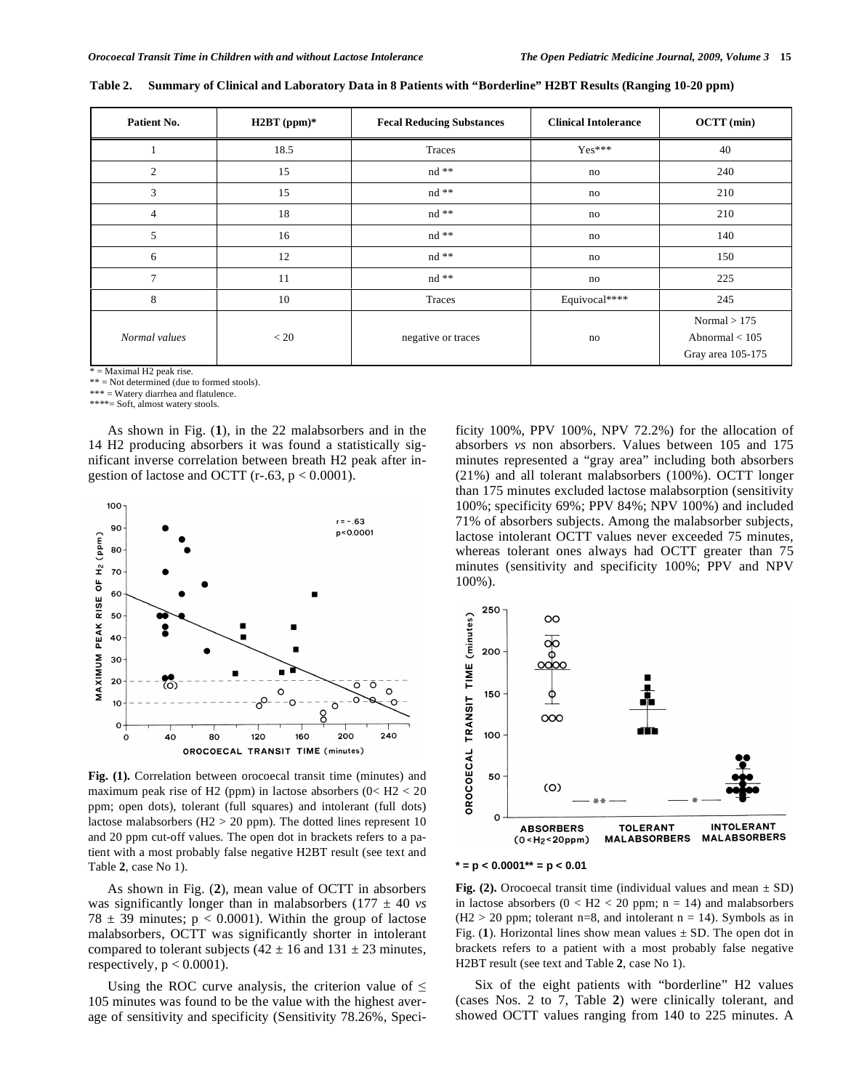$Normal > 175$ Abnormal < 105 Gray area 105-175

|  | Patient No. | $H2BT$ (ppm)* | <b>Fecal Reducing Substances</b> | <b>Clinical Intolerance</b> | $OCTT$ (min) |
|--|-------------|---------------|----------------------------------|-----------------------------|--------------|
|  |             | 18.5          | Traces                           | $Yes***$                    | 40           |
|  |             |               | $nd$ **                          | no                          | 240          |

3 15 1 nd  $**$  no 210 4 18 18 nd \*\* 10 no 210 5 16 16 nd \*\* 100 no 140 6 12 12 nd \*\* 150 7 11 1 nd \*\* 10 no 225 8 10 10 Traces Requivocal\*\*\*\* 1 245

**Table 2. Summary of Clinical and Laboratory Data in 8 Patients with "Borderline" H2BT Results (Ranging 10-20 ppm)** 

*Normal values*  $\lt 20$  example  $\lt 20$  negative or traces no

 $\overline{F}$  = Maximal H2 peak rise.

\*\* = Not determined (due to formed stools).

\*\*\* = Watery diarrhea and flatulence.

\*\*\*\*= Soft, almost watery stools.

 As shown in Fig. (**1**), in the 22 malabsorbers and in the 14 H2 producing absorbers it was found a statistically significant inverse correlation between breath H2 peak after ingestion of lactose and OCTT (r-.63,  $p < 0.0001$ ).



**Fig. (1).** Correlation between orocoecal transit time (minutes) and maximum peak rise of H2 (ppm) in lactose absorbers  $(0<$  H2  $<$  20 ppm; open dots), tolerant (full squares) and intolerant (full dots) lactose malabsorbers (H2 > 20 ppm). The dotted lines represent 10 and 20 ppm cut-off values. The open dot in brackets refers to a patient with a most probably false negative H2BT result (see text and Table **2**, case No 1).

 As shown in Fig. (**2**), mean value of OCTT in absorbers was significantly longer than in malabsorbers  $(177 \pm 40 \text{ vs } 100 \text{ s})$ 78  $\pm$  39 minutes; p < 0.0001). Within the group of lactose malabsorbers, OCTT was significantly shorter in intolerant compared to tolerant subjects ( $42 \pm 16$  and  $131 \pm 23$  minutes, respectively,  $p < 0.0001$ ).

Using the ROC curve analysis, the criterion value of  $\leq$ 105 minutes was found to be the value with the highest average of sensitivity and specificity (Sensitivity 78.26%, Specificity 100%, PPV 100%, NPV 72.2%) for the allocation of absorbers *vs* non absorbers. Values between 105 and 175 minutes represented a "gray area" including both absorbers (21%) and all tolerant malabsorbers (100%). OCTT longer than 175 minutes excluded lactose malabsorption (sensitivity 100%; specificity 69%; PPV 84%; NPV 100%) and included 71% of absorbers subjects. Among the malabsorber subjects, lactose intolerant OCTT values never exceeded 75 minutes, whereas tolerant ones always had OCTT greater than 75 minutes (sensitivity and specificity 100%; PPV and NPV 100%).





**Fig. (2).** Orocoecal transit time (individual values and mean  $\pm$  SD) in lactose absorbers  $(0 < H2 < 20$  ppm; n = 14) and malabsorbers  $(H2 > 20$  ppm; tolerant n=8, and intolerant n = 14). Symbols as in Fig. (1). Horizontal lines show mean values  $\pm$  SD. The open dot in brackets refers to a patient with a most probably false negative H2BT result (see text and Table **2**, case No 1).

 Six of the eight patients with "borderline" H2 values (cases Nos. 2 to 7, Table **2**) were clinically tolerant, and showed OCTT values ranging from 140 to 225 minutes. A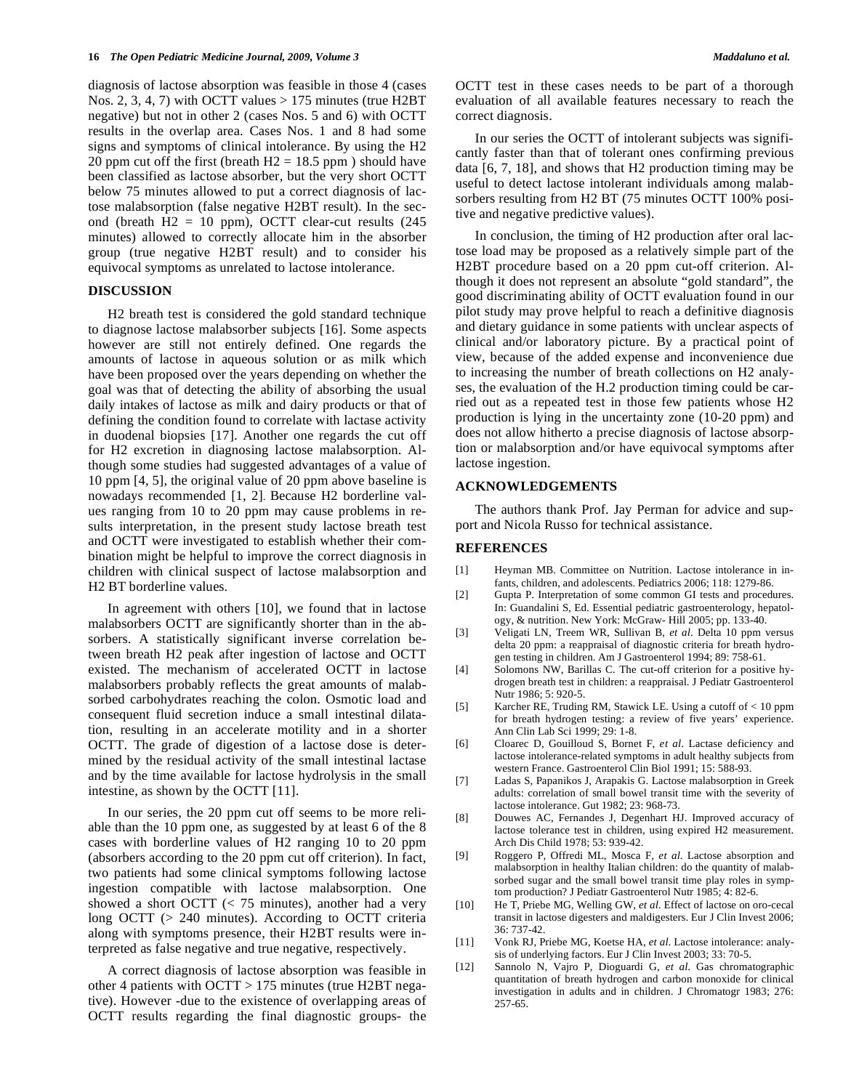diagnosis of lactose absorption was feasible in those 4 (cases Nos. 2, 3, 4, 7) with OCTT values  $> 175$  minutes (true H2BT negative) but not in other 2 (cases Nos. 5 and 6) with OCTT results in the overlap area. Cases Nos. 1 and 8 had some signs and symptoms of clinical intolerance. By using the H2 20 ppm cut off the first (breath  $H2 = 18.5$  ppm) should have been classified as lactose absorber, but the very short OCTT below 75 minutes allowed to put a correct diagnosis of lactose malabsorption (false negative H2BT result). In the second (breath  $H2 = 10$  ppm), OCTT clear-cut results  $(245)$ minutes) allowed to correctly allocate him in the absorber group (true negative H2BT result) and to consider his equivocal symptoms as unrelated to lactose intolerance.

#### **DISCUSSION**

 H2 breath test is considered the gold standard technique to diagnose lactose malabsorber subjects [16]. Some aspects however are still not entirely defined. One regards the amounts of lactose in aqueous solution or as milk which have been proposed over the years depending on whether the goal was that of detecting the ability of absorbing the usual daily intakes of lactose as milk and dairy products or that of defining the condition found to correlate with lactase activity in duodenal biopsies [17]. Another one regards the cut off for H2 excretion in diagnosing lactose malabsorption. Although some studies had suggested advantages of a value of 10 ppm [4, 5], the original value of 20 ppm above baseline is nowadays recommended [1, 2]. Because H2 borderline values ranging from 10 to 20 ppm may cause problems in results interpretation, in the present study lactose breath test and OCTT were investigated to establish whether their combination might be helpful to improve the correct diagnosis in children with clinical suspect of lactose malabsorption and H2 BT borderline values.

 In agreement with others [10], we found that in lactose malabsorbers OCTT are significantly shorter than in the absorbers. A statistically significant inverse correlation between breath H2 peak after ingestion of lactose and OCTT existed. The mechanism of accelerated OCTT in lactose malabsorbers probably reflects the great amounts of malabsorbed carbohydrates reaching the colon. Osmotic load and consequent fluid secretion induce a small intestinal dilatation, resulting in an accelerate motility and in a shorter OCTT. The grade of digestion of a lactose dose is determined by the residual activity of the small intestinal lactase and by the time available for lactose hydrolysis in the small intestine, as shown by the OCTT [11].

 In our series, the 20 ppm cut off seems to be more reliable than the 10 ppm one, as suggested by at least 6 of the 8 cases with borderline values of H2 ranging 10 to 20 ppm (absorbers according to the 20 ppm cut off criterion). In fact, two patients had some clinical symptoms following lactose ingestion compatible with lactose malabsorption. One showed a short OCTT  $\ll$  75 minutes), another had a very long OCTT (> 240 minutes). According to OCTT criteria along with symptoms presence, their H2BT results were interpreted as false negative and true negative, respectively.

 A correct diagnosis of lactose absorption was feasible in other 4 patients with OCTT > 175 minutes (true H2BT negative). However -due to the existence of overlapping areas of OCTT results regarding the final diagnostic groups- the

OCTT test in these cases needs to be part of a thorough evaluation of all available features necessary to reach the correct diagnosis.

 In our series the OCTT of intolerant subjects was significantly faster than that of tolerant ones confirming previous data [6, 7, 18], and shows that H2 production timing may be useful to detect lactose intolerant individuals among malabsorbers resulting from H2 BT (75 minutes OCTT 100% positive and negative predictive values).

 In conclusion, the timing of H2 production after oral lactose load may be proposed as a relatively simple part of the H2BT procedure based on a 20 ppm cut-off criterion. Although it does not represent an absolute "gold standard", the good discriminating ability of OCTT evaluation found in our pilot study may prove helpful to reach a definitive diagnosis and dietary guidance in some patients with unclear aspects of clinical and/or laboratory picture. By a practical point of view, because of the added expense and inconvenience due to increasing the number of breath collections on H2 analyses, the evaluation of the H.2 production timing could be carried out as a repeated test in those few patients whose H2 production is lying in the uncertainty zone (10-20 ppm) and does not allow hitherto a precise diagnosis of lactose absorption or malabsorption and/or have equivocal symptoms after lactose ingestion.

#### **ACKNOWLEDGEMENTS**

 The authors thank Prof. Jay Perman for advice and support and Nicola Russo for technical assistance.

### **REFERENCES**

- [1] Heyman MB. Committee on Nutrition. Lactose intolerance in infants, children, and adolescents. Pediatrics 2006; 118: 1279-86.
- [2] Gupta P. Interpretation of some common GI tests and procedures. In: Guandalini S, Ed. Essential pediatric gastroenterology, hepatology, & nutrition. New York: McGraw- Hill 2005; pp. 133-40.
- [3] Veligati LN, Treem WR, Sullivan B, *et al*. Delta 10 ppm versus delta 20 ppm: a reappraisal of diagnostic criteria for breath hydrogen testing in children. Am J Gastroenterol 1994; 89: 758-61.
- [4] Solomons NW, Barillas C. The cut-off criterion for a positive hydrogen breath test in children: a reappraisal. J Pediatr Gastroenterol Nutr 1986; 5: 920-5.
- [5] Karcher RE, Truding RM, Stawick LE. Using a cutoff of < 10 ppm for breath hydrogen testing: a review of five years' experience. Ann Clin Lab Sci 1999; 29: 1-8.
- [6] Cloarec D, Gouilloud S, Bornet F, *et al*. Lactase deficiency and lactose intolerance-related symptoms in adult healthy subjects from western France. Gastroenterol Clin Biol 1991; 15: 588-93.
- [7] Ladas S, Papanikos J, Arapakis G. Lactose malabsorption in Greek adults: correlation of small bowel transit time with the severity of lactose intolerance. Gut 1982; 23: 968-73.
- [8] Douwes AC, Fernandes J, Degenhart HJ. Improved accuracy of lactose tolerance test in children, using expired H2 measurement. Arch Dis Child 1978; 53: 939-42.
- [9] Roggero P, Offredi ML, Mosca F, *et al*. Lactose absorption and malabsorption in healthy Italian children: do the quantity of malabsorbed sugar and the small bowel transit time play roles in symptom production? J Pediatr Gastroenterol Nutr 1985; 4: 82-6.
- [10] He T, Priebe MG, Welling GW, *et al*. Effect of lactose on oro-cecal transit in lactose digesters and maldigesters. Eur J Clin Invest 2006; 36: 737-42.
- [11] Vonk RJ, Priebe MG, Koetse HA, *et al*. Lactose intolerance: analysis of underlying factors. Eur J Clin Invest 2003; 33: 70-5.
- [12] Sannolo N, Vajro P, Dioguardi G, *et al*. Gas chromatographic quantitation of breath hydrogen and carbon monoxide for clinical investigation in adults and in children. J Chromatogr 1983; 276: 257-65.